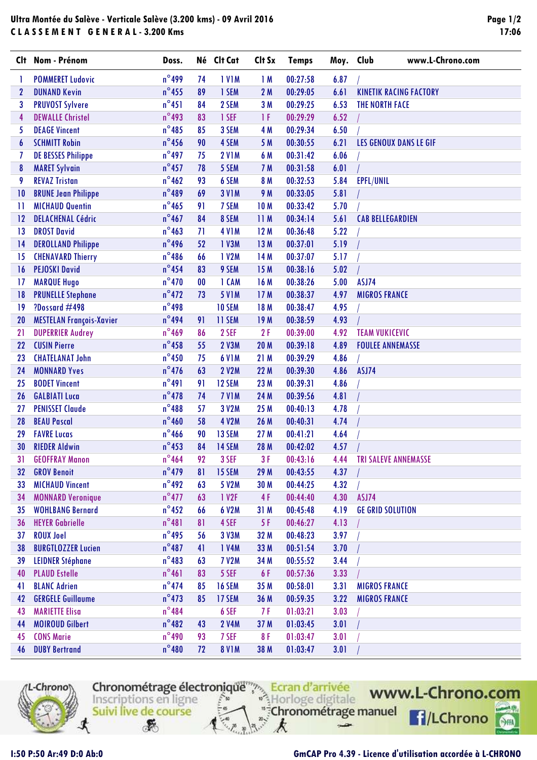## **Ultra Montée du Salève - Verticale Salève (3.200 kms) - 09 Avril 2016 C L A S S E M E N T G E N E R A L - 3.200 Kms**

| Clt             | Nom - Prénom                    | Doss.           |    | Né Clt Cat    | Clt Sx     | <b>Temps</b> | Moy. Club | www.L-Chrono.com                 |
|-----------------|---------------------------------|-----------------|----|---------------|------------|--------------|-----------|----------------------------------|
| 1               | <b>POMMERET Ludovic</b>         | $n^{\circ}$ 499 | 74 | <b>IVIM</b>   | 1M         | 00:27:58     | 6.87      |                                  |
| $\mathbf{2}$    | <b>DUNAND Kevin</b>             | $n^{\circ}$ 455 | 89 | 1 SEM         | 2M         | 00:29:05     | 6.61      | <b>KINETIK RACING FACTORY</b>    |
| 3               | <b>PRUVOST Sylvere</b>          | $n^{\circ}451$  | 84 | 2 SEM         | 3M         | 00:29:25     | 6.53      | <b>THE NORTH FACE</b>            |
| 4               | <b>DEWALLE Christel</b>         | $n^{\circ}$ 493 | 83 | 1 SEF         | 1 F        | 00:29:29     | 6.52      |                                  |
| 5               | <b>DEAGE Vincent</b>            | $n^{\circ}$ 485 | 85 | 3 SEM         | 4 M        | 00:29:34     | 6.50      |                                  |
| 6               | <b>SCHMITT Robin</b>            | $n^{\circ}$ 456 | 90 | 4 SEM         | 5 M        | 00:30:55     | 6.21      | LES GENOUX DANS LE GIF           |
| 7               | <b>DE BESSES Philippe</b>       | $n^{\circ}$ 497 | 75 | <b>2 V1M</b>  | 6 M        | 00:31:42     | 6.06      |                                  |
| 8               | <b>MARET Sylvain</b>            | $n^{\circ}$ 457 | 78 | 5 SEM         | 7 M        | 00:31:58     | 6.01      |                                  |
| 9               | <b>REVAZ Tristan</b>            | $n^{\circ}462$  | 93 | 6 SEM         | 8 M        | 00:32:53     | 5.84      | EPFL/UNIL                        |
| 10              | <b>BRUNE Jean Philippe</b>      | $n^{\circ}489$  | 69 | <b>3 V1M</b>  | 9 M        | 00:33:05     | 5.81      |                                  |
| 11              | <b>MICHAUD Quentin</b>          | $n^{\circ}$ 465 | 91 | 7 SEM         | <b>10M</b> | 00:33:42     | 5.70      |                                  |
| 12              | <b>DELACHENAL Cédric</b>        | $n^{\circ}467$  | 84 | 8 SEM         | 11M        | 00:34:14     | 5.61      | <b>CAB BELLEGARDIEN</b>          |
| $\overline{13}$ | <b>DROST David</b>              | $n^{\circ}$ 463 | 71 | <b>4 V1M</b>  | 12M        | 00:36:48     | 5.22      |                                  |
| 14              | <b>DEROLLAND Philippe</b>       | $n^{\circ}$ 496 | 52 | 1 V3M         | 13 M       | 00:37:01     | 5.19      |                                  |
| 15              | <b>CHENAVARD Thierry</b>        | $n^{\circ}$ 486 | 66 | 1 V2M         | 14 M       | 00:37:07     | 5.17      |                                  |
| 16              | <b>PEJOSKI David</b>            | $n^{\circ}$ 454 | 83 | 9 SEM         | 15M        | 00:38:16     | 5.02      |                                  |
| 17              | <b>MARQUE Hugo</b>              | $n^{\circ}470$  | 00 | 1 CAM         | 16 M       | 00:38:26     | 5.00      | ASJ74                            |
| 18              | <b>PRUNELLE Stephane</b>        | $n^{\circ}472$  | 73 | <b>5 V1M</b>  | 17M        | 00:38:37     | 4.97      | <b>MIGROS FRANCE</b>             |
| 19              | ?Dossard #498                   | $n^{\circ}$ 498 |    | <b>10 SEM</b> | 18 M       | 00:38:47     | 4.95      |                                  |
| 20              | <b>MESTELAN François-Xavier</b> | $n^{\circ}$ 494 | 91 | 11 SEM        | 19 M       | 00:38:59     | 4.93      |                                  |
| 21              | <b>DUPERRIER Audrey</b>         | $n^{\circ}$ 469 | 86 | 2 SEF         | 2F         | 00:39:00     | 4.92      | <b>TEAM VUKICEVIC</b>            |
| 22              | <b>CUSIN Pierre</b>             | $n^{\circ}$ 458 | 55 | <b>2 V3M</b>  | 20 M       | 00:39:18     | 4.89      | <b>FOULEE ANNEMASSE</b>          |
| 23              | <b>CHATELANAT John</b>          | $n^{\circ}$ 450 | 75 | <b>6 V1M</b>  | 21M        | 00:39:29     | 4.86      |                                  |
| 24              | <b>MONNARD Yves</b>             | $n^{\circ}476$  | 63 | <b>2 V2M</b>  | 22 M       | 00:39:30     | 4.86      | ASJ74                            |
| 25              | <b>BODET Vincent</b>            | $n^{\circ}491$  | 91 | 12 SEM        | 23 M       | 00:39:31     | 4.86      |                                  |
| 26              | <b>GALBIATI Luca</b>            | $n^{\circ}$ 478 | 74 | 7 VIM         | 24 M       | 00:39:56     | 4.81      |                                  |
| 27              | <b>PENISSET Claude</b>          | $n^{\circ}488$  | 57 | 3 V2M         | 25 M       | 00:40:13     | 4.78      |                                  |
| 28              | <b>BEAU Pascal</b>              | $n^{\circ}460$  | 58 | <b>4 V2M</b>  | 26 M       | 00:40:31     | 4.74      |                                  |
| 29              | <b>FAVRE Lucas</b>              | $n^{\circ}$ 466 | 90 | 13 SEM        | 27 M       | 00:41:21     | 4.64      |                                  |
| 30              | <b>RIEDER Aldwin</b>            | $n^{\circ}$ 453 | 84 | 14 SEM        | 28 M       | 00:42:02     | 4.57      |                                  |
| 31              | <b>GEOFFRAY Manon</b>           | $n^{\circ}$ 464 | 92 | 3 SEF         | 3F         | 00:43:16     |           | <b>4.44 TRI SALEVE ANNEMASSE</b> |
| 32              | <b>GROV Benoit</b>              | $n^{\circ}$ 479 | 81 | 15 SEM        | 29 M       | 00:43:55     | 4.37      |                                  |
| 33              | <b>MICHAUD Vincent</b>          | $n^{\circ}$ 492 | 63 | 5 V2M         | 30 M       | 00:44:25     | 4.32      |                                  |
| 34              | <b>MONNARD Veronique</b>        | $n^{\circ}477$  | 63 | 1 V2F         | 4F         | 00:44:40     | 4.30      | ASJ74                            |
| 35              | <b>WOHLBANG Bernard</b>         | $n^{\circ}$ 452 | 66 | 6 V2M         | 31 M       | 00:45:48     | 4.19      | <b>GE GRID SOLUTION</b>          |
| 36              | <b>HEYER Gabrielle</b>          | $n^{\circ}481$  | 81 | 4 SEF         | 5 F        | 00:46:27     | 4.13      |                                  |
| 37              | <b>ROUX Joel</b>                | $n^{\circ}$ 495 | 56 | 3 V3M         | 32 M       | 00:48:23     | 3.97      |                                  |
| 38              | <b>BURGTLOZZER Lucien</b>       | $n^{\circ}487$  | 41 | 1 V4M         | 33 M       | 00:51:54     | 3.70      |                                  |
| 39              | <b>LEIDNER Stéphane</b>         | $n^{\circ}$ 483 | 63 | <b>7 V2M</b>  | 34 M       | 00:55:52     | 3.44      |                                  |
| 40              | <b>PLAUD Estelle</b>            | $n^{\circ}461$  | 83 | 5 SEF         | 6 F        | 00:57:36     | 3.33      |                                  |
| 41              | <b>BLANC Adrien</b>             | $n^{\circ}474$  | 85 | <b>16 SEM</b> | 35 M       | 00:58:01     | 3.31      | <b>MIGROS FRANCE</b>             |
| 42              | <b>GERGELE Guillaume</b>        | $n^{\circ}$ 473 | 85 | 17 SEM        | 36 M       | 00:59:35     | 3.22      | <b>MIGROS FRANCE</b>             |
| 43              | <b>MARIETTE Elisa</b>           | $n^{\circ}484$  |    | 6 SEF         | 7 F        | 01:03:21     | 3.03      |                                  |
| 44              | <b>MOIROUD Gilbert</b>          | $n^{\circ}482$  | 43 | <b>2 V4M</b>  | 37 M       | 01:03:45     | 3.01      |                                  |
| 45              | <b>CONS Marie</b>               | $n^{\circ}$ 490 | 93 | 7 SEF         | 8F         | 01:03:47     | 3.01      |                                  |
| 46              | <b>DUBY Bertrand</b>            | $n^{\circ}480$  | 72 | <b>8 V1M</b>  | 38 M       | 01:03:47     | 3.01      |                                  |



Chronométrage électronique<sup>ment</sup> Ecran d'arrivée "<sup>#</sup>Chronométrage manuel Suivi live de course

k

 $-2$ 



**P**